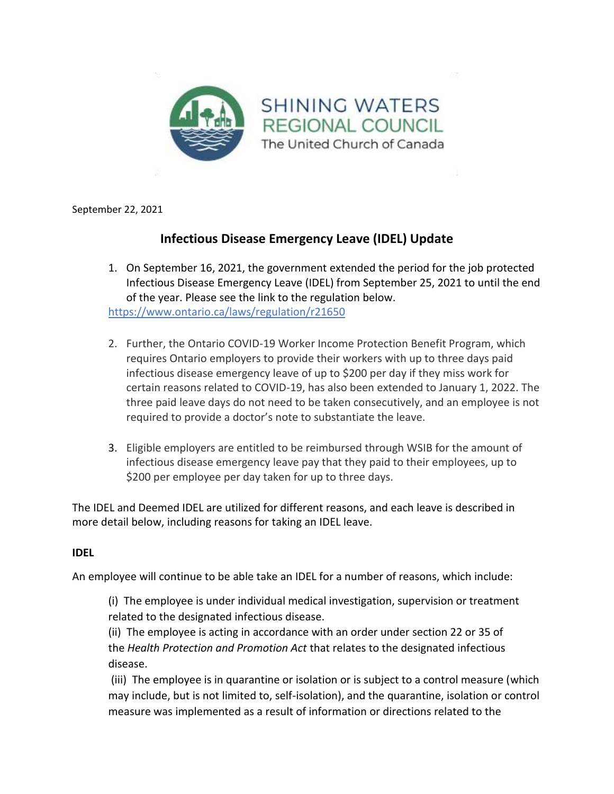

September 22, 2021

# **Infectious Disease Emergency Leave (IDEL) Update**

- 1. On September 16, 2021, the government extended the period for the job protected Infectious Disease Emergency Leave (IDEL) from September 25, 2021 to until the end of the year. Please see the link to the regulation below. [https://www.ontario.ca/laws/regulation/r21650](https://can01.safelinks.protection.outlook.com/?url=https%3A%2F%2Fwww.ontario.ca%2Flaws%2Fregulation%2Fr21650&data=04%7C01%7CDHildebrand%40united-church.ca%7C71c17ed219d54c6eee9308d97d1856f0%7Ccf18b5a826784011931215f0f7157574%7C0%7C0%7C637678365749122463%7CUnknown%7CTWFpbGZsb3d8eyJWIjoiMC4wLjAwMDAiLCJQIjoiV2luMzIiLCJBTiI6Ik1haWwiLCJXVCI6Mn0%3D%7C1000&sdata=0%2BH4fD39zH0VJ5qYLygrM1s3fqsKKtMfljkG6miw4JQ%3D&reserved=0)
- 2. Further, the Ontario COVID-19 Worker Income Protection Benefit Program, which requires Ontario employers to provide their workers with up to three days paid infectious disease emergency leave of up to \$200 per day if they miss work for certain reasons related to COVID-19, has also been extended to January 1, 2022. The three paid leave days do not need to be taken consecutively, and an employee is not required to provide a doctor's note to substantiate the leave.
- 3. Eligible employers are entitled to be reimbursed through WSIB for the amount of infectious disease emergency leave pay that they paid to their employees, up to \$200 per employee per day taken for up to three days.

The IDEL and Deemed IDEL are utilized for different reasons, and each leave is described in more detail below, including reasons for taking an IDEL leave.

#### **IDEL**

An employee will continue to be able take an IDEL for a number of reasons, which include:

(i) The employee is under individual medical investigation, supervision or treatment related to the designated infectious disease.

(ii) The employee is acting in accordance with an order under section 22 or 35 of the *Health Protection and Promotion Act* that relates to the designated infectious disease.

(iii) The employee is in quarantine or isolation or is subject to a control measure (which may include, but is not limited to, self-isolation), and the quarantine, isolation or control measure was implemented as a result of information or directions related to the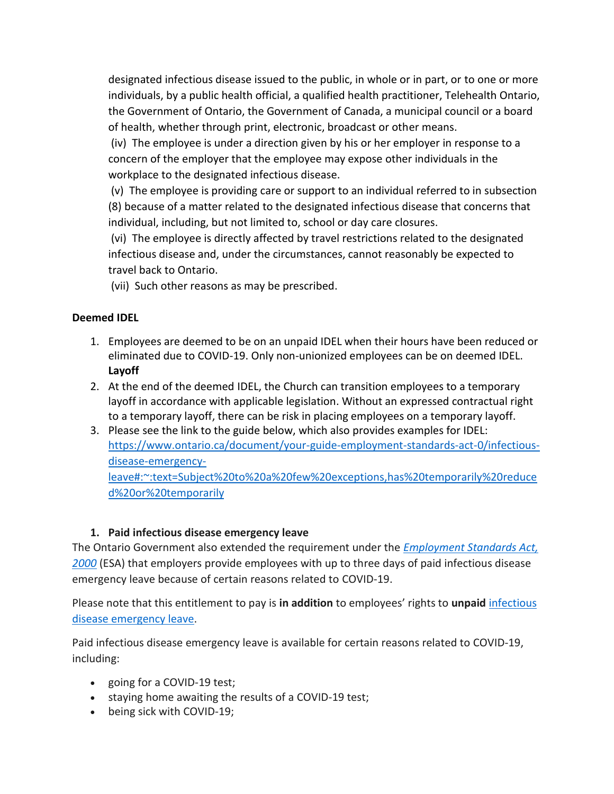designated infectious disease issued to the public, in whole or in part, or to one or more individuals, by a public health official, a qualified health practitioner, Telehealth Ontario, the Government of Ontario, the Government of Canada, a municipal council or a board of health, whether through print, electronic, broadcast or other means.

(iv) The employee is under a direction given by his or her employer in response to a concern of the employer that the employee may expose other individuals in the workplace to the designated infectious disease.

(v) The employee is providing care or support to an individual referred to in subsection (8) because of a matter related to the designated infectious disease that concerns that individual, including, but not limited to, school or day care closures.

(vi) The employee is directly affected by travel restrictions related to the designated infectious disease and, under the circumstances, cannot reasonably be expected to travel back to Ontario.

(vii) Such other reasons as may be prescribed.

## **Deemed IDEL**

- 1. Employees are deemed to be on an unpaid IDEL when their hours have been reduced or eliminated due to COVID-19. Only non-unionized employees can be on deemed IDEL. **Layoff**
- 2. At the end of the deemed IDEL, the Church can transition employees to a temporary layoff in accordance with applicable legislation. Without an expressed contractual right to a temporary layoff, there can be risk in placing employees on a temporary layoff.
- 3. Please see the link to the guide below, which also provides examples for IDEL: [https://www.ontario.ca/document/your-guide-employment-standards-act-0/infectious](https://can01.safelinks.protection.outlook.com/?url=https%3A%2F%2Fwww.ontario.ca%2Fdocument%2Fyour-guide-employment-standards-act-0%2Finfectious-disease-emergency-leave%23%3A~%3Atext%3DSubject%2520to%2520a%2520few%2520exceptions%2Chas%2520temporarily%2520reduced%2520or%2520temporarily&data=04%7C01%7CDHildebrand%40united-church.ca%7C71c17ed219d54c6eee9308d97d1856f0%7Ccf18b5a826784011931215f0f7157574%7C0%7C0%7C637678365749122463%7CUnknown%7CTWFpbGZsb3d8eyJWIjoiMC4wLjAwMDAiLCJQIjoiV2luMzIiLCJBTiI6Ik1haWwiLCJXVCI6Mn0%3D%7C1000&sdata=jKvoW%2FFLSXxjrr6XWywjuaTw8%2FQO8jr19REaM9RoGMg%3D&reserved=0)[disease-emergency](https://can01.safelinks.protection.outlook.com/?url=https%3A%2F%2Fwww.ontario.ca%2Fdocument%2Fyour-guide-employment-standards-act-0%2Finfectious-disease-emergency-leave%23%3A~%3Atext%3DSubject%2520to%2520a%2520few%2520exceptions%2Chas%2520temporarily%2520reduced%2520or%2520temporarily&data=04%7C01%7CDHildebrand%40united-church.ca%7C71c17ed219d54c6eee9308d97d1856f0%7Ccf18b5a826784011931215f0f7157574%7C0%7C0%7C637678365749122463%7CUnknown%7CTWFpbGZsb3d8eyJWIjoiMC4wLjAwMDAiLCJQIjoiV2luMzIiLCJBTiI6Ik1haWwiLCJXVCI6Mn0%3D%7C1000&sdata=jKvoW%2FFLSXxjrr6XWywjuaTw8%2FQO8jr19REaM9RoGMg%3D&reserved=0)[leave#:~:text=Subject%20to%20a%20few%20exceptions,has%20temporarily%20reduce](https://can01.safelinks.protection.outlook.com/?url=https%3A%2F%2Fwww.ontario.ca%2Fdocument%2Fyour-guide-employment-standards-act-0%2Finfectious-disease-emergency-leave%23%3A~%3Atext%3DSubject%2520to%2520a%2520few%2520exceptions%2Chas%2520temporarily%2520reduced%2520or%2520temporarily&data=04%7C01%7CDHildebrand%40united-church.ca%7C71c17ed219d54c6eee9308d97d1856f0%7Ccf18b5a826784011931215f0f7157574%7C0%7C0%7C637678365749122463%7CUnknown%7CTWFpbGZsb3d8eyJWIjoiMC4wLjAwMDAiLCJQIjoiV2luMzIiLCJBTiI6Ik1haWwiLCJXVCI6Mn0%3D%7C1000&sdata=jKvoW%2FFLSXxjrr6XWywjuaTw8%2FQO8jr19REaM9RoGMg%3D&reserved=0) [d%20or%20temporarily](https://can01.safelinks.protection.outlook.com/?url=https%3A%2F%2Fwww.ontario.ca%2Fdocument%2Fyour-guide-employment-standards-act-0%2Finfectious-disease-emergency-leave%23%3A~%3Atext%3DSubject%2520to%2520a%2520few%2520exceptions%2Chas%2520temporarily%2520reduced%2520or%2520temporarily&data=04%7C01%7CDHildebrand%40united-church.ca%7C71c17ed219d54c6eee9308d97d1856f0%7Ccf18b5a826784011931215f0f7157574%7C0%7C0%7C637678365749122463%7CUnknown%7CTWFpbGZsb3d8eyJWIjoiMC4wLjAwMDAiLCJQIjoiV2luMzIiLCJBTiI6Ik1haWwiLCJXVCI6Mn0%3D%7C1000&sdata=jKvoW%2FFLSXxjrr6XWywjuaTw8%2FQO8jr19REaM9RoGMg%3D&reserved=0)

#### **1. Paid infectious disease emergency leave**

The Ontario Government also extended the requirement under the *[Employment Standards Act,](https://can01.safelinks.protection.outlook.com/?url=https%3A%2F%2Fwww.ontario.ca%2Flaws%2Fstatute%2F00e41&data=04%7C01%7CDHildebrand%40united-church.ca%7C71c17ed219d54c6eee9308d97d1856f0%7Ccf18b5a826784011931215f0f7157574%7C0%7C0%7C637678365749132421%7CUnknown%7CTWFpbGZsb3d8eyJWIjoiMC4wLjAwMDAiLCJQIjoiV2luMzIiLCJBTiI6Ik1haWwiLCJXVCI6Mn0%3D%7C1000&sdata=TailelRo685Ra%2B31lKrY7Uq3ieHMVuCTo5iExjk75k4%3D&reserved=0)  [2000](https://can01.safelinks.protection.outlook.com/?url=https%3A%2F%2Fwww.ontario.ca%2Flaws%2Fstatute%2F00e41&data=04%7C01%7CDHildebrand%40united-church.ca%7C71c17ed219d54c6eee9308d97d1856f0%7Ccf18b5a826784011931215f0f7157574%7C0%7C0%7C637678365749132421%7CUnknown%7CTWFpbGZsb3d8eyJWIjoiMC4wLjAwMDAiLCJQIjoiV2luMzIiLCJBTiI6Ik1haWwiLCJXVCI6Mn0%3D%7C1000&sdata=TailelRo685Ra%2B31lKrY7Uq3ieHMVuCTo5iExjk75k4%3D&reserved=0)* (ESA) that employers provide employees with up to three days of paid infectious disease emergency leave because of certain reasons related to COVID-19.

Please note that this entitlement to pay is **in addition** to employees' rights to **unpaid** [infectious](https://can01.safelinks.protection.outlook.com/?url=https%3A%2F%2Fwww.ontario.ca%2Fdocument%2Fyour-guide-employment-standards-act-0%2Finfectious-disease-emergency-leave&data=04%7C01%7CDHildebrand%40united-church.ca%7C71c17ed219d54c6eee9308d97d1856f0%7Ccf18b5a826784011931215f0f7157574%7C0%7C0%7C637678365749132421%7CUnknown%7CTWFpbGZsb3d8eyJWIjoiMC4wLjAwMDAiLCJQIjoiV2luMzIiLCJBTiI6Ik1haWwiLCJXVCI6Mn0%3D%7C1000&sdata=TBYE%2B9B%2FpS1a0TqS53ZI6ndS%2BfG8EX%2FjvblDhUnJiBU%3D&reserved=0)  [disease emergency leave.](https://can01.safelinks.protection.outlook.com/?url=https%3A%2F%2Fwww.ontario.ca%2Fdocument%2Fyour-guide-employment-standards-act-0%2Finfectious-disease-emergency-leave&data=04%7C01%7CDHildebrand%40united-church.ca%7C71c17ed219d54c6eee9308d97d1856f0%7Ccf18b5a826784011931215f0f7157574%7C0%7C0%7C637678365749132421%7CUnknown%7CTWFpbGZsb3d8eyJWIjoiMC4wLjAwMDAiLCJQIjoiV2luMzIiLCJBTiI6Ik1haWwiLCJXVCI6Mn0%3D%7C1000&sdata=TBYE%2B9B%2FpS1a0TqS53ZI6ndS%2BfG8EX%2FjvblDhUnJiBU%3D&reserved=0)

Paid infectious disease emergency leave is available for certain reasons related to COVID-19, including:

- going for a COVID-19 test;
- staying home awaiting the results of a COVID-19 test;
- being sick with COVID-19;